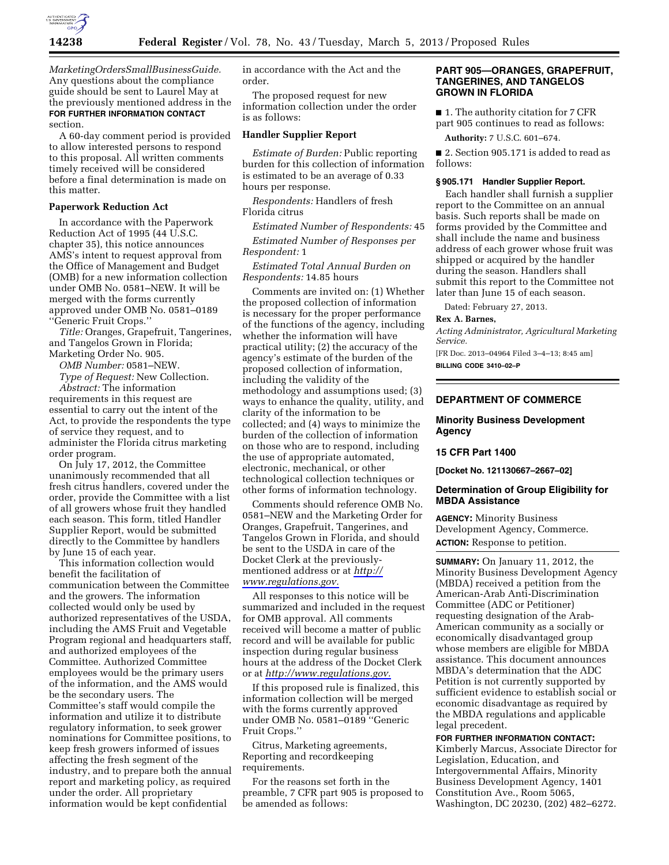

*MarketingOrdersSmallBusinessGuide.*  Any questions about the compliance guide should be sent to Laurel May at the previously mentioned address in the **FOR FURTHER INFORMATION CONTACT** section.

A 60-day comment period is provided to allow interested persons to respond to this proposal. All written comments timely received will be considered before a final determination is made on this matter.

## **Paperwork Reduction Act**

In accordance with the Paperwork Reduction Act of 1995 (44 U.S.C. chapter 35), this notice announces AMS's intent to request approval from the Office of Management and Budget (OMB) for a new information collection under OMB No. 0581–NEW. It will be merged with the forms currently approved under OMB No. 0581–0189 ''Generic Fruit Crops.''

*Title:* Oranges, Grapefruit, Tangerines, and Tangelos Grown in Florida; Marketing Order No. 905.

*OMB Number:* 0581–NEW.

*Type of Request:* New Collection. *Abstract:* The information requirements in this request are essential to carry out the intent of the Act, to provide the respondents the type of service they request, and to administer the Florida citrus marketing order program.

On July 17, 2012, the Committee unanimously recommended that all fresh citrus handlers, covered under the order, provide the Committee with a list of all growers whose fruit they handled each season. This form, titled Handler Supplier Report, would be submitted directly to the Committee by handlers by June 15 of each year.

This information collection would benefit the facilitation of communication between the Committee and the growers. The information collected would only be used by authorized representatives of the USDA, including the AMS Fruit and Vegetable Program regional and headquarters staff, and authorized employees of the Committee. Authorized Committee employees would be the primary users of the information, and the AMS would be the secondary users. The Committee's staff would compile the information and utilize it to distribute regulatory information, to seek grower nominations for Committee positions, to keep fresh growers informed of issues affecting the fresh segment of the industry, and to prepare both the annual report and marketing policy, as required under the order. All proprietary information would be kept confidential

in accordance with the Act and the order.

The proposed request for new information collection under the order is as follows:

### **Handler Supplier Report**

*Estimate of Burden:* Public reporting burden for this collection of information is estimated to be an average of 0.33 hours per response.

*Respondents:* Handlers of fresh Florida citrus

*Estimated Number of Respondents:* 45

*Estimated Number of Responses per* 

*Respondent:* 1

*Estimated Total Annual Burden on Respondents:* 14.85 hours

Comments are invited on: (1) Whether the proposed collection of information is necessary for the proper performance of the functions of the agency, including whether the information will have practical utility; (2) the accuracy of the agency's estimate of the burden of the proposed collection of information, including the validity of the methodology and assumptions used; (3) ways to enhance the quality, utility, and clarity of the information to be collected; and (4) ways to minimize the burden of the collection of information on those who are to respond, including the use of appropriate automated, electronic, mechanical, or other technological collection techniques or other forms of information technology.

Comments should reference OMB No. 0581–NEW and the Marketing Order for Oranges, Grapefruit, Tangerines, and Tangelos Grown in Florida, and should be sent to the USDA in care of the Docket Clerk at the previouslymentioned address or at *[http://](http://www.regulations.gov) [www.regulations.gov.](http://www.regulations.gov)* 

All responses to this notice will be summarized and included in the request for OMB approval. All comments received will become a matter of public record and will be available for public inspection during regular business hours at the address of the Docket Clerk or at *[http://www.regulations.gov.](http://www.regulations.gov)* 

If this proposed rule is finalized, this information collection will be merged with the forms currently approved under OMB No. 0581–0189 ''Generic Fruit Crops.''

Citrus, Marketing agreements, Reporting and recordkeeping requirements.

For the reasons set forth in the preamble, 7 CFR part 905 is proposed to be amended as follows:

## **PART 905—ORANGES, GRAPEFRUIT, TANGERINES, AND TANGELOS GROWN IN FLORIDA**

■ 1. The authority citation for 7 CFR part 905 continues to read as follows:

**Authority:** 7 U.S.C. 601–674.

■ 2. Section 905.171 is added to read as follows:

### **§ 905.171 Handler Supplier Report.**

Each handler shall furnish a supplier report to the Committee on an annual basis. Such reports shall be made on forms provided by the Committee and shall include the name and business address of each grower whose fruit was shipped or acquired by the handler during the season. Handlers shall submit this report to the Committee not later than June 15 of each season.

Dated: February 27, 2013.

#### **Rex A. Barnes,**

*Acting Administrator, Agricultural Marketing Service.* 

[FR Doc. 2013–04964 Filed 3–4–13; 8:45 am] **BILLING CODE 3410–02–P** 

## **DEPARTMENT OF COMMERCE**

# **Minority Business Development Agency**

## **15 CFR Part 1400**

**[Docket No. 121130667–2667–02]** 

### **Determination of Group Eligibility for MBDA Assistance**

**AGENCY:** Minority Business Development Agency, Commerce. **ACTION:** Response to petition.

**SUMMARY:** On January 11, 2012, the Minority Business Development Agency (MBDA) received a petition from the American-Arab Anti-Discrimination Committee (ADC or Petitioner) requesting designation of the Arab-American community as a socially or economically disadvantaged group whose members are eligible for MBDA assistance. This document announces MBDA's determination that the ADC Petition is not currently supported by sufficient evidence to establish social or economic disadvantage as required by the MBDA regulations and applicable legal precedent.

# **FOR FURTHER INFORMATION CONTACT:**

Kimberly Marcus, Associate Director for Legislation, Education, and Intergovernmental Affairs, Minority Business Development Agency, 1401 Constitution Ave., Room 5065, Washington, DC 20230, (202) 482–6272.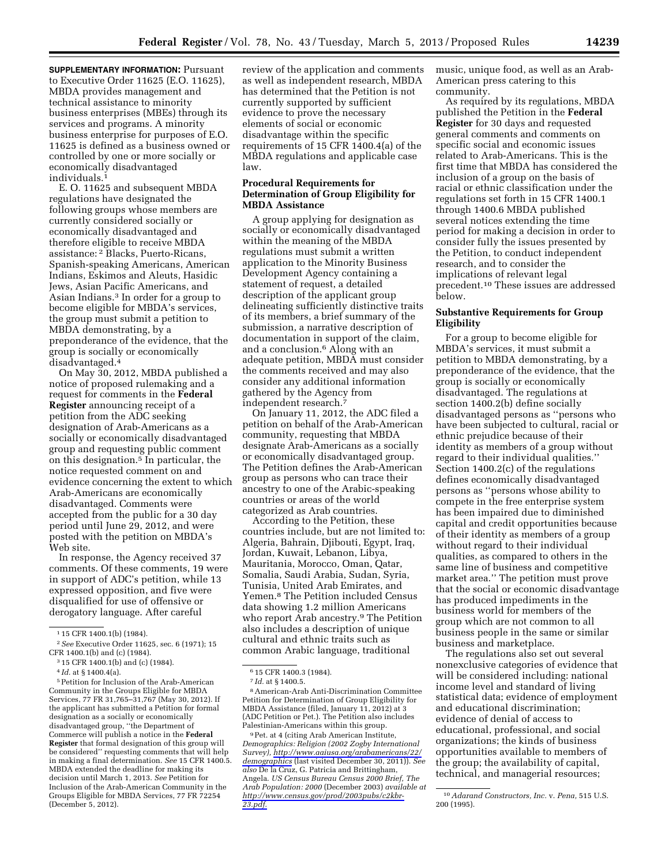**SUPPLEMENTARY INFORMATION: Pursuant** to Executive Order 11625 (E.O. 11625), MBDA provides management and technical assistance to minority business enterprises (MBEs) through its services and programs. A minority business enterprise for purposes of E.O. 11625 is defined as a business owned or controlled by one or more socially or economically disadvantaged individuals.1

E. O. 11625 and subsequent MBDA regulations have designated the following groups whose members are currently considered socially or economically disadvantaged and therefore eligible to receive MBDA assistance: 2 Blacks, Puerto-Ricans, Spanish-speaking Americans, American Indians, Eskimos and Aleuts, Hasidic Jews, Asian Pacific Americans, and Asian Indians.3 In order for a group to become eligible for MBDA's services, the group must submit a petition to MBDA demonstrating, by a preponderance of the evidence, that the group is socially or economically disadvantaged.4

On May 30, 2012, MBDA published a notice of proposed rulemaking and a request for comments in the **Federal Register** announcing receipt of a petition from the ADC seeking designation of Arab-Americans as a socially or economically disadvantaged group and requesting public comment on this designation.5 In particular, the notice requested comment on and evidence concerning the extent to which Arab-Americans are economically disadvantaged. Comments were accepted from the public for a 30 day period until June 29, 2012, and were posted with the petition on MBDA's Web site.

In response, the Agency received 37 comments. Of these comments, 19 were in support of ADC's petition, while 13 expressed opposition, and five were disqualified for use of offensive or derogatory language. After careful

5Petition for Inclusion of the Arab-American Community in the Groups Eligible for MBDA Services, 77 FR 31,765–31,767 (May 30, 2012). If the applicant has submitted a Petition for formal designation as a socially or economically disadvantaged group, ''the Department of Commerce will publish a notice in the **Federal Register** that formal designation of this group will be considered'' requesting comments that will help in making a final determination. *See* 15 CFR 1400.5. MBDA extended the deadline for making its decision until March 1, 2013. *See* Petition for Inclusion of the Arab-American Community in the Groups Eligible for MBDA Services, 77 FR 72254 (December 5, 2012).

review of the application and comments as well as independent research, MBDA has determined that the Petition is not currently supported by sufficient evidence to prove the necessary elements of social or economic disadvantage within the specific requirements of 15 CFR 1400.4(a) of the MBDA regulations and applicable case law.

### **Procedural Requirements for Determination of Group Eligibility for MBDA Assistance**

A group applying for designation as socially or economically disadvantaged within the meaning of the MBDA regulations must submit a written application to the Minority Business Development Agency containing a statement of request, a detailed description of the applicant group delineating sufficiently distinctive traits of its members, a brief summary of the submission, a narrative description of documentation in support of the claim, and a conclusion.6 Along with an adequate petition, MBDA must consider the comments received and may also consider any additional information gathered by the Agency from independent research.7

On January 11, 2012, the ADC filed a petition on behalf of the Arab-American community, requesting that MBDA designate Arab-Americans as a socially or economically disadvantaged group. The Petition defines the Arab-American group as persons who can trace their ancestry to one of the Arabic-speaking countries or areas of the world categorized as Arab countries.

According to the Petition, these countries include, but are not limited to: Algeria, Bahrain, Djibouti, Egypt, Iraq, Jordan, Kuwait, Lebanon, Libya, Mauritania, Morocco, Oman, Qatar, Somalia, Saudi Arabia, Sudan, Syria, Tunisia, United Arab Emirates, and Yemen.8 The Petition included Census data showing 1.2 million Americans who report Arab ancestry.9 The Petition also includes a description of unique cultural and ethnic traits such as common Arabic language, traditional

music, unique food, as well as an Arab-American press catering to this community.

As required by its regulations, MBDA published the Petition in the **Federal Register** for 30 days and requested general comments and comments on specific social and economic issues related to Arab-Americans. This is the first time that MBDA has considered the inclusion of a group on the basis of racial or ethnic classification under the regulations set forth in 15 CFR 1400.1 through 1400.6 MBDA published several notices extending the time period for making a decision in order to consider fully the issues presented by the Petition, to conduct independent research, and to consider the implications of relevant legal precedent.10 These issues are addressed below.

# **Substantive Requirements for Group Eligibility**

For a group to become eligible for MBDA's services, it must submit a petition to MBDA demonstrating, by a preponderance of the evidence, that the group is socially or economically disadvantaged. The regulations at section 1400.2(b) define socially disadvantaged persons as ''persons who have been subjected to cultural, racial or ethnic prejudice because of their identity as members of a group without regard to their individual qualities.'' Section 1400.2(c) of the regulations defines economically disadvantaged persons as ''persons whose ability to compete in the free enterprise system has been impaired due to diminished capital and credit opportunities because of their identity as members of a group without regard to their individual qualities, as compared to others in the same line of business and competitive market area.'' The petition must prove that the social or economic disadvantage has produced impediments in the business world for members of the group which are not common to all business people in the same or similar business and marketplace.

The regulations also set out several nonexclusive categories of evidence that will be considered including: national income level and standard of living statistical data; evidence of employment and educational discrimination; evidence of denial of access to educational, professional, and social organizations; the kinds of business opportunities available to members of the group; the availability of capital, technical, and managerial resources;

<sup>1</sup> 15 CFR 1400.1(b) (1984).

<sup>2</sup>*See* Executive Order 11625, sec. 6 (1971); 15 CFR 1400.1(b) and (c) (1984).

<sup>3</sup> 15 CFR 1400.1(b) and (c) (1984).

<sup>4</sup> *Id.* at § 1400.4(a).

<sup>6</sup> 15 CFR 1400.3 (1984).

<sup>7</sup> *Id.* at § 1400.5. 8American-Arab Anti-Discrimination Committee Petition for Determination of Group Eligibility for MBDA Assistance (filed, January 11, 2012) at 3 (ADC Petition or Pet.). The Petition also includes Palestinian-Americans within this group.

<sup>9</sup>Pet. at 4 (citing Arab American Institute, *Demographics: Religion (2002 Zogby International Survey), [http://www.aaiusa.org/arabamericans/22/](http://www.aaiusa.org/arabamericans/22/demographics) [demographics](http://www.aaiusa.org/arabamericans/22/demographics)* (last visited December 30, 2011)). *See also* De la Cruz, G. Patricia and Brittingham, Angela. *US Census Bureau Census 2000 Brief, The Arab Population: 2000* (December 2003) *available at [http://www.census.gov/prod/2003pubs/c2kbr-](http://www.census.gov/prod/2003pubs/c2kbr-23.pdf)[23.pdf.](http://www.census.gov/prod/2003pubs/c2kbr-23.pdf)* 

<sup>10</sup>*Adarand Constructors, Inc.* v. *Pena,* 515 U.S. 200 (1995).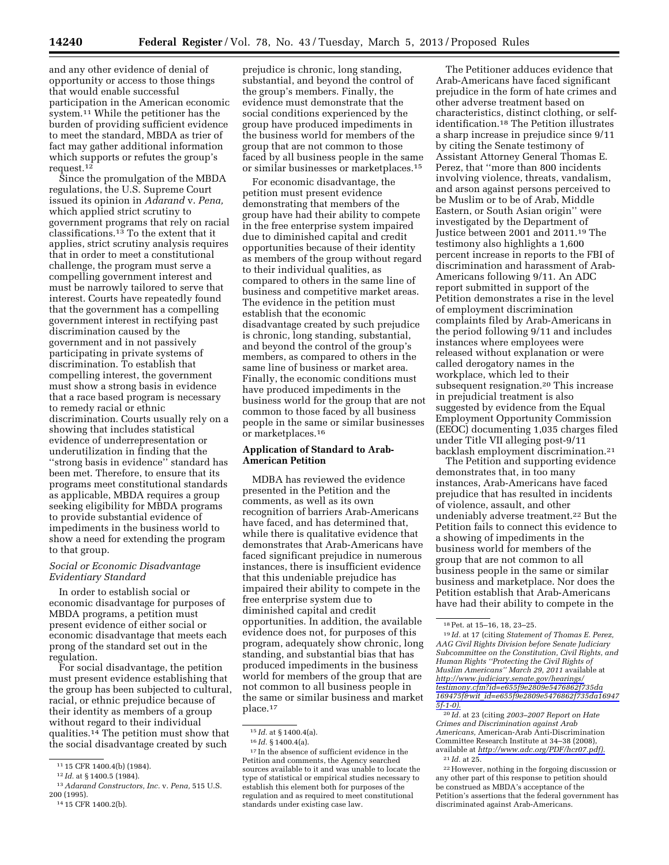and any other evidence of denial of opportunity or access to those things that would enable successful participation in the American economic system.11 While the petitioner has the burden of providing sufficient evidence to meet the standard, MBDA as trier of fact may gather additional information which supports or refutes the group's request. $12$ 

Since the promulgation of the MBDA regulations, the U.S. Supreme Court issued its opinion in *Adarand* v. *Pena,*  which applied strict scrutiny to government programs that rely on racial classifications.13 To the extent that it applies, strict scrutiny analysis requires that in order to meet a constitutional challenge, the program must serve a compelling government interest and must be narrowly tailored to serve that interest. Courts have repeatedly found that the government has a compelling government interest in rectifying past discrimination caused by the government and in not passively participating in private systems of discrimination. To establish that compelling interest, the government must show a strong basis in evidence that a race based program is necessary to remedy racial or ethnic discrimination. Courts usually rely on a showing that includes statistical evidence of underrepresentation or underutilization in finding that the ''strong basis in evidence'' standard has been met. Therefore, to ensure that its programs meet constitutional standards as applicable, MBDA requires a group seeking eligibility for MBDA programs to provide substantial evidence of impediments in the business world to show a need for extending the program to that group.

# *Social or Economic Disadvantage Evidentiary Standard*

In order to establish social or economic disadvantage for purposes of MBDA programs, a petition must present evidence of either social or economic disadvantage that meets each prong of the standard set out in the regulation.

For social disadvantage, the petition must present evidence establishing that the group has been subjected to cultural, racial, or ethnic prejudice because of their identity as members of a group without regard to their individual qualities.14 The petition must show that the social disadvantage created by such

prejudice is chronic, long standing, substantial, and beyond the control of the group's members. Finally, the evidence must demonstrate that the social conditions experienced by the group have produced impediments in the business world for members of the group that are not common to those faced by all business people in the same or similar businesses or marketplaces.15

For economic disadvantage, the petition must present evidence demonstrating that members of the group have had their ability to compete in the free enterprise system impaired due to diminished capital and credit opportunities because of their identity as members of the group without regard to their individual qualities, as compared to others in the same line of business and competitive market areas. The evidence in the petition must establish that the economic disadvantage created by such prejudice is chronic, long standing, substantial, and beyond the control of the group's members, as compared to others in the same line of business or market area. Finally, the economic conditions must have produced impediments in the business world for the group that are not common to those faced by all business people in the same or similar businesses or marketplaces.16

# **Application of Standard to Arab-American Petition**

MDBA has reviewed the evidence presented in the Petition and the comments, as well as its own recognition of barriers Arab-Americans have faced, and has determined that, while there is qualitative evidence that demonstrates that Arab-Americans have faced significant prejudice in numerous instances, there is insufficient evidence that this undeniable prejudice has impaired their ability to compete in the free enterprise system due to diminished capital and credit opportunities. In addition, the available evidence does not, for purposes of this program, adequately show chronic, long standing, and substantial bias that has produced impediments in the business world for members of the group that are not common to all business people in the same or similar business and market place.17

The Petitioner adduces evidence that Arab-Americans have faced significant prejudice in the form of hate crimes and other adverse treatment based on characteristics, distinct clothing, or selfidentification.18 The Petition illustrates a sharp increase in prejudice since 9/11 by citing the Senate testimony of Assistant Attorney General Thomas E. Perez, that ''more than 800 incidents involving violence, threats, vandalism, and arson against persons perceived to be Muslim or to be of Arab, Middle Eastern, or South Asian origin'' were investigated by the Department of Justice between 2001 and 2011.19 The testimony also highlights a 1,600 percent increase in reports to the FBI of discrimination and harassment of Arab-Americans following 9/11. An ADC report submitted in support of the Petition demonstrates a rise in the level of employment discrimination complaints filed by Arab-Americans in the period following 9/11 and includes instances where employees were released without explanation or were called derogatory names in the workplace, which led to their subsequent resignation.20 This increase in prejudicial treatment is also suggested by evidence from the Equal Employment Opportunity Commission (EEOC) documenting 1,035 charges filed under Title VII alleging post-9/11 backlash employment discrimination.21

The Petition and supporting evidence demonstrates that, in too many instances, Arab-Americans have faced prejudice that has resulted in incidents of violence, assault, and other undeniably adverse treatment.22 But the Petition fails to connect this evidence to a showing of impediments in the business world for members of the group that are not common to all business people in the same or similar business and marketplace. Nor does the Petition establish that Arab-Americans have had their ability to compete in the

20 *Id.* at 23 (citing *2003–2007 Report on Hate Crimes and Discrimination against Arab Americans,* American-Arab Anti-Discrimination Committee Research Institute at 34–38 (2008), available at *[http://www.adc.org/PDF/hcr07.pdf\).](http://www.adc.org/PDF/hcr07.pdf)*  21 *Id.* at 25.

<sup>11</sup> 15 CFR 1400.4(b) (1984).

<sup>12</sup> *Id.* at § 1400.5 (1984).

<sup>13</sup>*Adarand Constructors, Inc.* v. *Pena,* 515 U.S. 200 (1995).

<sup>14</sup> 15 CFR 1400.2(b).

<sup>15</sup> *Id.* at § 1400.4(a).

<sup>16</sup> *Id.* § 1400.4(a).

<sup>17</sup> In the absence of sufficient evidence in the Petition and comments, the Agency searched sources available to it and was unable to locate the type of statistical or empirical studies necessary to establish this element both for purposes of the regulation and as required to meet constitutional standards under existing case law.

<sup>18</sup>Pet. at 15–16, 18, 23–25.

<sup>19</sup> *Id.* at 17 (citing *Statement of Thomas E. Perez, AAG Civil Rights Division before Senate Judiciary Subcommittee on the Constitution, Civil Rights, and Human Rights ''Protecting the Civil Rights of Muslim Americans'' March 29, 2011* available at *[http://www.judiciary.senate.gov/hearings/](http://www.judiciary.senate.gov/hearings/testimony.cfm?id=e655f9e2809e5476862f735da169475f&wit_id=e655f9e2809e5476862f735da169475f-1-0) [testimony.cfm?id=e655f9e2809e5476862f735da](http://www.judiciary.senate.gov/hearings/testimony.cfm?id=e655f9e2809e5476862f735da169475f&wit_id=e655f9e2809e5476862f735da169475f-1-0) 169475f&wit*\_*[id=e655f9e2809e5476862f735da16947](http://www.judiciary.senate.gov/hearings/testimony.cfm?id=e655f9e2809e5476862f735da169475f&wit_id=e655f9e2809e5476862f735da169475f-1-0) [5f-1-0\).](http://www.judiciary.senate.gov/hearings/testimony.cfm?id=e655f9e2809e5476862f735da169475f&wit_id=e655f9e2809e5476862f735da169475f-1-0)* 

<sup>22</sup>However, nothing in the forgoing discussion or any other part of this response to petition should be construed as MBDA's acceptance of the Petition's assertions that the federal government has discriminated against Arab-Americans.